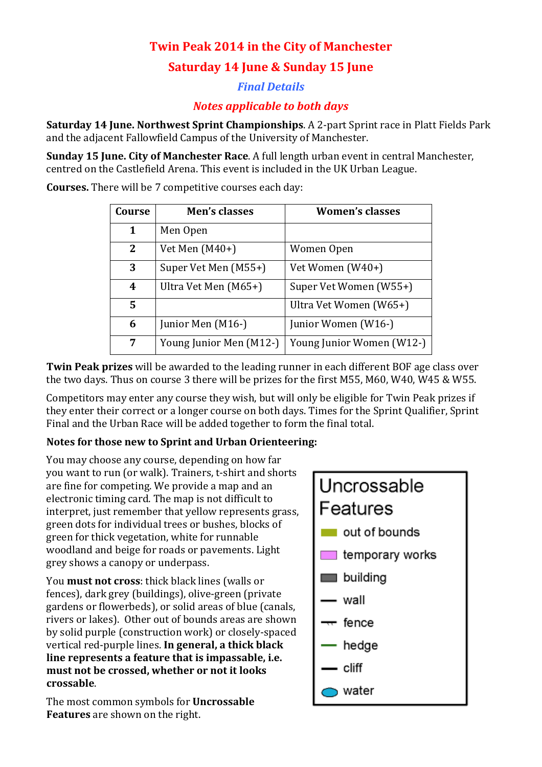# **Twin Peak 2014 in the City of Manchester**

## **Saturday 14 June & Sunday 15 June**

## *Final Details*

## *Notes applicable to both days*

**Saturday 14 June. Northwest Sprint Championships. A 2-part Sprint race in Platt Fields Park** and the adjacent Fallowfield Campus of the University of Manchester.

**Sunday 15 June. City of Manchester Race**. A full length urban event in central Manchester, centred on the Castlefield Arena. This event is included in the UK Urban League.

**Courses.** There will be 7 competitive courses each day:

| Course       | Men's classes           | <b>Women's classes</b>    |
|--------------|-------------------------|---------------------------|
| 1            | Men Open                |                           |
| $\mathbf{2}$ | Vet Men $(M40+)$        | Women Open                |
| 3            | Super Vet Men (M55+)    | Vet Women (W40+)          |
| 4            | Ultra Vet Men (M65+)    | Super Vet Women (W55+)    |
| 5            |                         | Ultra Vet Women (W65+)    |
| 6            | Junior Men (M16-)       | Junior Women (W16-)       |
| 7            | Young Junior Men (M12-) | Young Junior Women (W12-) |

**Twin Peak prizes** will be awarded to the leading runner in each different BOF age class over the two days. Thus on course 3 there will be prizes for the first M55, M60, W40, W45 & W55.

Competitors may enter any course they wish, but will only be eligible for Twin Peak prizes if they enter their correct or a longer course on both days. Times for the Sprint Qualifier, Sprint Final and the Urban Race will be added together to form the final total.

### **Notes for those new to Sprint and Urban Orienteering:**

You may choose any course, depending on how far you want to run (or walk). Trainers, t-shirt and shorts are fine for competing. We provide a map and an electronic timing card. The map is not difficult to interpret, just remember that yellow represents grass, green dots for individual trees or bushes, blocks of green for thick vegetation, white for runnable woodland and beige for roads or pavements. Light grey shows a canopy or underpass.

You **must not cross**: thick black lines (walls or fences), dark grey (buildings), olive-green (private gardens or flowerbeds), or solid areas of blue (canals, rivers or lakes). Other out of bounds areas are shown by solid purple (construction work) or closely-spaced vertical red-purple lines. **In general, a thick black line represents a feature that is impassable, i.e. must not be crossed, whether or not it looks crossable**.

The most common symbols for **Uncrossable Features** are shown on the right.

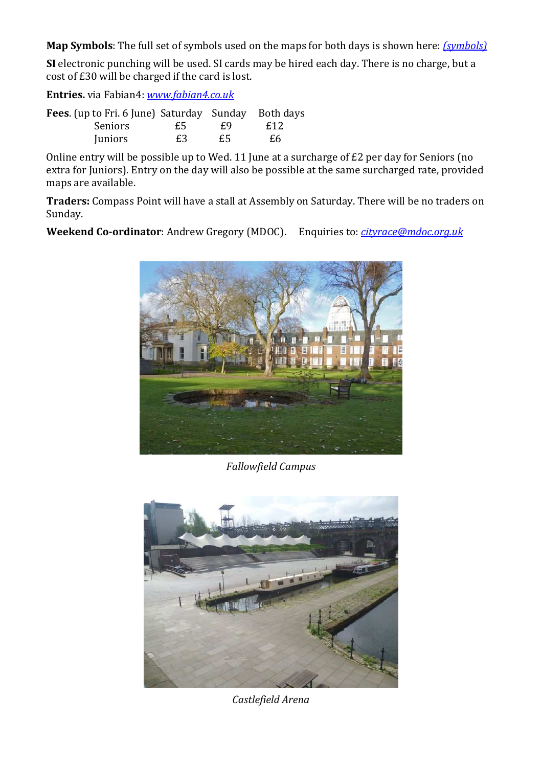**Map Symbols**: The full set of symbols used on the maps for both days is shown here: *(symbols)*

**SI** electronic punching will be used. SI cards may be hired each day. There is no charge, but a cost of £30 will be charged if the card is lost.

**Entries.** via Fabian4: *www.fabian4.co.uk*

| <b>Fees.</b> (up to Fri. 6 June) Saturday Sunday Both days |    |     |      |
|------------------------------------------------------------|----|-----|------|
| <b>Seniors</b>                                             | £5 | £9. | f.12 |
| <b>Juniors</b>                                             | £3 | £5  | £6   |

Online entry will be possible up to Wed. 11 June at a surcharge of £2 per day for Seniors (no extra for Juniors). Entry on the day will also be possible at the same surcharged rate, provided maps are available.

**Traders:** Compass Point will have a stall at Assembly on Saturday. There will be no traders on Sunday.

**Weekend Co-ordinator**: Andrew Gregory (MDOC). Enquiries to: *cityrace@mdoc.org.uk*



*Fallowfield Campus* 



*Castlefield Arena*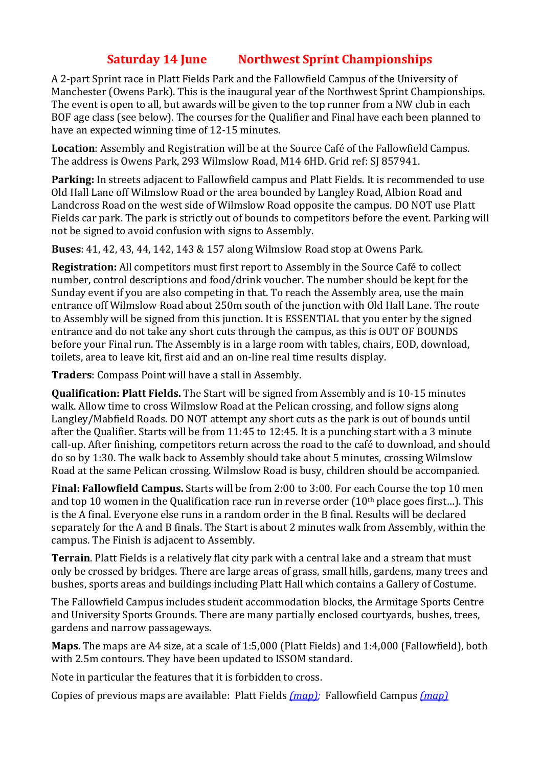# **Saturday 14 June Northwest Sprint Championships**

A 2-part Sprint race in Platt Fields Park and the Fallowfield Campus of the University of Manchester (Owens Park). This is the inaugural year of the Northwest Sprint Championships. The event is open to all, but awards will be given to the top runner from a NW club in each BOF age class (see below). The courses for the Qualifier and Final have each been planned to have an expected winning time of 12-15 minutes.

**Location**: Assembly and Registration will be at the Source Café of the Fallowfield Campus. The address is Owens Park, 293 Wilmslow Road, M14 6HD. Grid ref: SJ 857941.

**Parking:** In streets adjacent to Fallowfield campus and Platt Fields. It is recommended to use Old Hall Lane off Wilmslow Road or the area bounded by Langley Road, Albion Road and Landcross Road on the west side of Wilmslow Road opposite the campus. DO NOT use Platt Fields car park. The park is strictly out of bounds to competitors before the event. Parking will not be signed to avoid confusion with signs to Assembly.

**Buses**: 41, 42, 43, 44, 142, 143 & 157 along Wilmslow Road stop at Owens Park.

**Registration:** All competitors must first report to Assembly in the Source Café to collect number, control descriptions and food/drink voucher. The number should be kept for the Sunday event if you are also competing in that. To reach the Assembly area, use the main entrance off Wilmslow Road about 250m south of the junction with Old Hall Lane. The route to Assembly will be signed from this junction. It is ESSENTIAL that you enter by the signed entrance and do not take any short cuts through the campus, as this is OUT OF BOUNDS before your Final run. The Assembly is in a large room with tables, chairs, EOD, download, toilets, area to leave kit, first aid and an on-line real time results display.

**Traders**: Compass Point will have a stall in Assembly.

**Qualification: Platt Fields.** The Start will be signed from Assembly and is 10-15 minutes walk. Allow time to cross Wilmslow Road at the Pelican crossing, and follow signs along Langley/Mabfield Roads. DO NOT attempt any short cuts as the park is out of bounds until after the Qualifier. Starts will be from 11:45 to 12:45. It is a punching start with a 3 minute call-up. After finishing, competitors return across the road to the café to download, and should do so by 1:30. The walk back to Assembly should take about 5 minutes, crossing Wilmslow Road at the same Pelican crossing. Wilmslow Road is busy, children should be accompanied.

**Final: Fallowfield Campus.** Starts will be from 2:00 to 3:00*.* For each Course the top 10 men and top 10 women in the Qualification race run in reverse order (10<sup>th</sup> place goes first...). This is the A final. Everyone else runs in a random order in the B final. Results will be declared separately for the A and B finals. The Start is about 2 minutes walk from Assembly, within the campus. The Finish is adjacent to Assembly.

**Terrain**. Platt Fields is a relatively flat city park with a central lake and a stream that must only be crossed by bridges. There are large areas of grass, small hills, gardens, many trees and bushes, sports areas and buildings including Platt Hall which contains a Gallery of Costume.

The Fallowfield Campus includes student accommodation blocks, the Armitage Sports Centre and University Sports Grounds. There are many partially enclosed courtyards, bushes, trees, gardens and narrow passageways.

**Maps**. The maps are A4 size, at a scale of 1:5,000 (Platt Fields) and 1:4,000 (Fallowfield), both with 2.5m contours. They have been updated to ISSOM standard.

Note in particular the features that it is forbidden to cross.

Copies of previous maps are available: Platt Fields *(map);* Fallowfield Campus *(map)*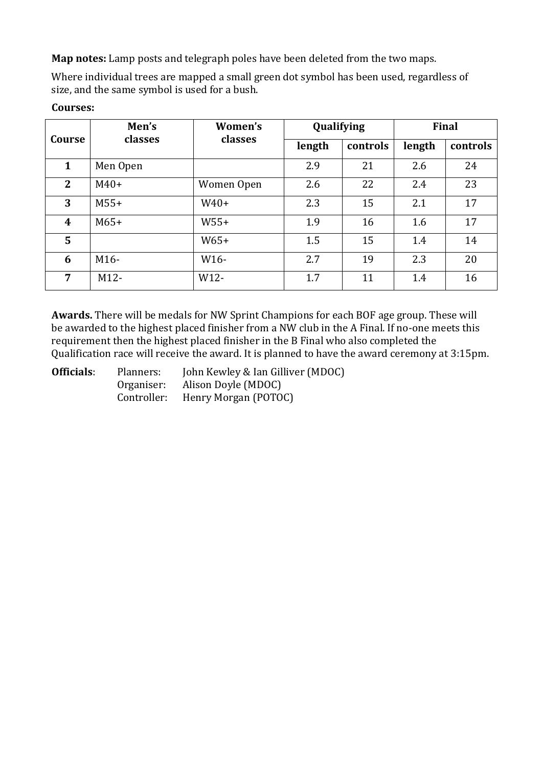**Map notes:** Lamp posts and telegraph poles have been deleted from the two maps.

Where individual trees are mapped a small green dot symbol has been used, regardless of size, and the same symbol is used for a bush.

#### **Courses:**

| Course         | Men's<br>classes  | Women's<br>classes | Qualifying |          | <b>Final</b> |          |
|----------------|-------------------|--------------------|------------|----------|--------------|----------|
|                |                   |                    | length     | controls | length       | controls |
| $\mathbf{1}$   | Men Open          |                    | 2.9        | 21       | 2.6          | 24       |
| $\overline{2}$ | $M40+$            | Women Open         | 2.6        | 22       | 2.4          | 23       |
| 3              | $M55+$            | $W40+$             | 2.3        | 15       | 2.1          | 17       |
| 4              | $M65+$            | $W55+$             | 1.9        | 16       | 1.6          | 17       |
| 5              |                   | $W65+$             | 1.5        | 15       | 1.4          | 14       |
| 6              | M <sub>16</sub> - | W16-               | 2.7        | 19       | 2.3          | 20       |
| 7              | $M12-$            | $W12-$             | 1.7        | 11       | 1.4          | 16       |

**Awards.** There will be medals for NW Sprint Champions for each BOF age group. These will be awarded to the highest placed finisher from a NW club in the A Final. If no-one meets this requirement then the highest placed finisher in the B Final who also completed the Qualification race will receive the award. It is planned to have the award ceremony at 3:15pm.

| <b>Officials:</b> | Planners:   | John Kewley & Ian Gilliver (MDOC) |
|-------------------|-------------|-----------------------------------|
|                   | Organiser:  | Alison Doyle (MDOC)               |
|                   | Controller: | Henry Morgan (POTOC)              |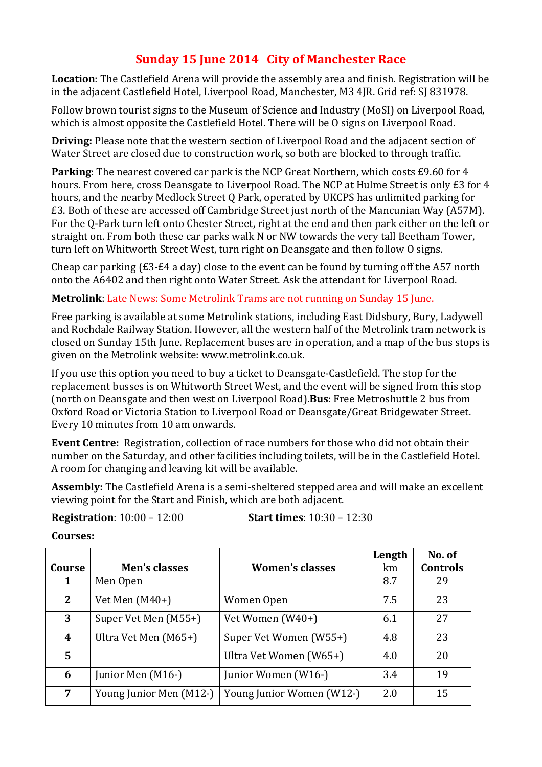# **Sunday 15 June 2014 City of Manchester Race**

**Location**: The Castlefield Arena will provide the assembly area and finish. Registration will be in the adjacent Castlefield Hotel, Liverpool Road, Manchester, M3 4JR. Grid ref: SJ 831978.

Follow brown tourist signs to the Museum of Science and Industry (MoSI) on Liverpool Road, which is almost opposite the Castlefield Hotel. There will be O signs on Liverpool Road.

**Driving:** Please note that the western section of Liverpool Road and the adjacent section of Water Street are closed due to construction work, so both are blocked to through traffic.

**Parking**: The nearest covered car park is the NCP Great Northern, which costs £9.60 for 4 hours. From here, cross Deansgate to Liverpool Road. The NCP at Hulme Street is only £3 for 4 hours, and the nearby Medlock Street Q Park, operated by UKCPS has unlimited parking for £3. Both of these are accessed off Cambridge Street just north of the Mancunian Way (A57M). For the Q-Park turn left onto Chester Street, right at the end and then park either on the left or straight on. From both these car parks walk N or NW towards the very tall Beetham Tower, turn left on Whitworth Street West, turn right on Deansgate and then follow O signs.

Cheap car parking (£3-£4 a day) close to the event can be found by turning off the A57 north onto the A6402 and then right onto Water Street. Ask the attendant for Liverpool Road.

### **Metrolink**: Late News: Some Metrolink Trams are not running on Sunday 15 June.

Free parking is available at some Metrolink stations, including East Didsbury, Bury, Ladywell and Rochdale Railway Station. However, all the western half of the Metrolink tram network is closed on Sunday 15th June. Replacement buses are in operation, and a map of the bus stops is given on the Metrolink website: www.metrolink.co.uk.

If you use this option you need to buy a ticket to Deansgate-Castlefield. The stop for the replacement busses is on Whitworth Street West, and the event will be signed from this stop (north on Deansgate and then west on Liverpool Road).**Bus**: Free Metroshuttle 2 bus from Oxford Road or Victoria Station to Liverpool Road or Deansgate/Great Bridgewater Street. Every 10 minutes from 10 am onwards.

**Event Centre:** Registration, collection of race numbers for those who did not obtain their number on the Saturday, and other facilities including toilets, will be in the Castlefield Hotel. A room for changing and leaving kit will be available.

**Assembly:** The Castlefield Arena is a semi-sheltered stepped area and will make an excellent viewing point for the Start and Finish, which are both adjacent.

#### **Registration**: 10:00 – 12:00 **Start times**: 10:30 – 12:30

#### **Courses:**

| Course      | Men's classes           | <b>Women's classes</b>    | Length<br>km | No. of<br><b>Controls</b> |
|-------------|-------------------------|---------------------------|--------------|---------------------------|
|             |                         |                           |              |                           |
|             | Men Open                |                           | 8.7          | 29                        |
| $2^{\circ}$ | Vet Men $(M40+)$        | Women Open                | 7.5          | 23                        |
| 3           | Super Vet Men (M55+)    | Vet Women (W40+)          | 6.1          | 27                        |
| 4           | Ultra Vet Men $(M65+)$  | Super Vet Women (W55+)    | 4.8          | 23                        |
| 5           |                         | Ultra Vet Women (W65+)    | 4.0          | 20                        |
| 6           | Junior Men (M16-)       | Junior Women (W16-)       | 3.4          | 19                        |
|             | Young Junior Men (M12-) | Young Junior Women (W12-) | 2.0          | 15                        |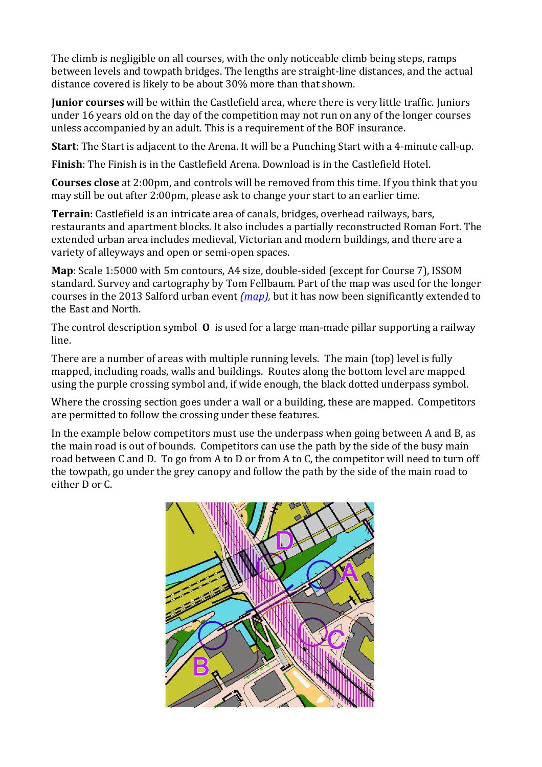The climb is negligible on all courses, with the only noticeable climb being steps, ramps between levels and towpath bridges. The lengths are straight-line distances, and the actual distance covered is likely to be about 30% more than that shown.

**Junior courses** will be within the Castlefield area, where there is very little traffic. Juniors under 16 years old on the day of the competition may not run on any of the longer courses unless accompanied by an adult. This is a requirement of the BOF insurance.

**Start**: The Start is adjacent to the Arena. It will be a Punching Start with a 4-minute call-up.

**Finish**: The Finish is in the Castlefield Arena. Download is in the Castlefield Hotel.

**Courses close** at 2:00pm, and controls will be removed from this time. If you think that you may still be out after 2:00pm, please ask to change your start to an earlier time.

**Terrain**: Castlefield is an intricate area of canals, bridges, overhead railways, bars, restaurants and apartment blocks. It also includes a partially reconstructed Roman Fort. The extended urban area includes medieval, Victorian and modern buildings, and there are a variety of alleyways and open or semi-open spaces.

**Map**: Scale 1:5000 with 5m contours, A4 size, double-sided (except for Course 7), ISSOM standard. Survey and cartography by Tom Fellbaum. Part of the map was used for the longer courses in the 2013 Salford urban event *(map),* but it has now been significantly extended to the East and North.

The control description symbol **O** is used for a large man-made pillar supporting a railway line.

There are a number of areas with multiple running levels. The main (top) level is fully mapped, including roads, walls and buildings. Routes along the bottom level are mapped using the purple crossing symbol and, if wide enough, the black dotted underpass symbol.

Where the crossing section goes under a wall or a building, these are mapped. Competitors are permitted to follow the crossing under these features.

In the example below competitors must use the underpass when going between A and B, as the main road is out of bounds. Competitors can use the path by the side of the busy main road between C and D. To go from A to D or from A to C, the competitor will need to turn off the towpath, go under the grey canopy and follow the path by the side of the main road to either D or C.

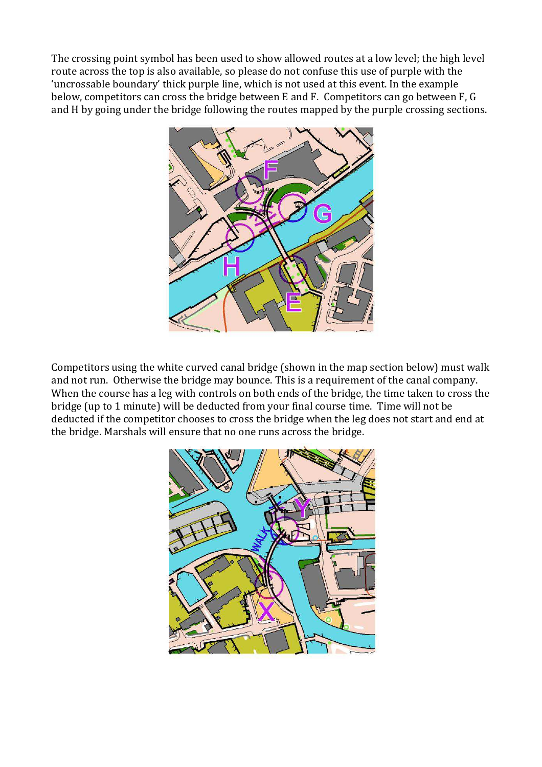The crossing point symbol has been used to show allowed routes at a low level; the high level route across the top is also available, so please do not confuse this use of purple with the 'uncrossable boundary' thick purple line, which is not used at this event. In the example below, competitors can cross the bridge between E and F. Competitors can go between F, G and H by going under the bridge following the routes mapped by the purple crossing sections.



Competitors using the white curved canal bridge (shown in the map section below) must walk and not run. Otherwise the bridge may bounce. This is a requirement of the canal company. When the course has a leg with controls on both ends of the bridge, the time taken to cross the bridge (up to 1 minute) will be deducted from your final course time. Time will not be deducted if the competitor chooses to cross the bridge when the leg does not start and end at the bridge. Marshals will ensure that no one runs across the bridge.